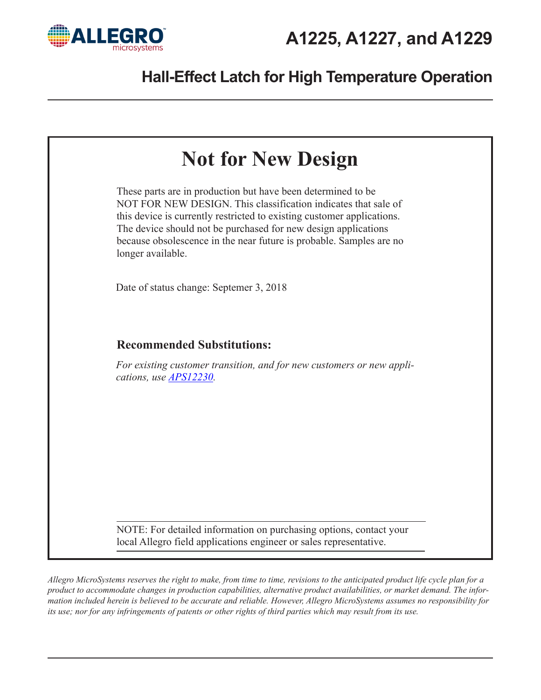





*Allegro MicroSystems reserves the right to make, from time to time, revisions to the anticipated product life cycle plan for a product to accommodate changes in production capabilities, alternative product availabilities, or market demand. The information included herein is believed to be accurate and reliable. However, Allegro MicroSystems assumes no responsibility for its use; nor for any infringements of patents or other rights of third parties which may result from its use.*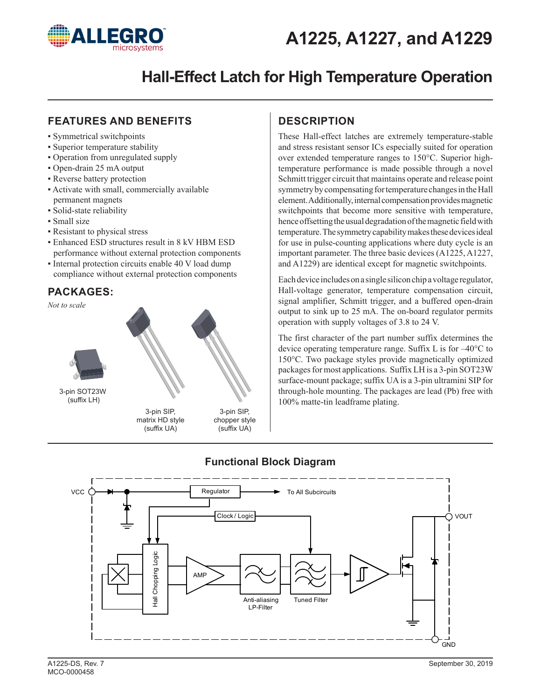

### **FEATURES AND BENEFITS**

- Symmetrical switchpoints
- Superior temperature stability
- Operation from unregulated supply
- Open-drain 25 mA output
- Reverse battery protection
- Activate with small, commercially available permanent magnets
- Solid-state reliability
- Small size
- Resistant to physical stress
- Enhanced ESD structures result in 8 kV HBM ESD performance without external protection components
- Internal protection circuits enable 40 V load dump compliance without external protection components

### **PACKAGES:**



### **DESCRIPTION**

These Hall-effect latches are extremely temperature-stable and stress resistant sensor ICs especially suited for operation over extended temperature ranges to 150°C. Superior hightemperature performance is made possible through a novel Schmitt trigger circuit that maintains operate and release point symmetry by compensating for temperature changes in the Hall element. Additionally, internal compensation provides magnetic switchpoints that become more sensitive with temperature, hence offsetting the usual degradation of the magnetic field with temperature. The symmetry capability makes these devices ideal for use in pulse-counting applications where duty cycle is an important parameter. The three basic devices (A1225, A1227, and A1229) are identical except for magnetic switchpoints.

Each device includes on a single silicon chip a voltage regulator, Hall-voltage generator, temperature compensation circuit, signal amplifier, Schmitt trigger, and a buffered open-drain output to sink up to 25 mA. The on-board regulator permits operation with supply voltages of 3.8 to 24 V.

The first character of the part number suffix determines the device operating temperature range. Suffix L is for –40°C to 150°C. Two package styles provide magnetically optimized packages for most applications. Suffix LH is a 3-pin SOT23W surface-mount package; suffix UA is a 3-pin ultramini SIP for through-hole mounting. The packages are lead (Pb) free with 100% matte-tin leadframe plating.



## **Functional Block Diagram**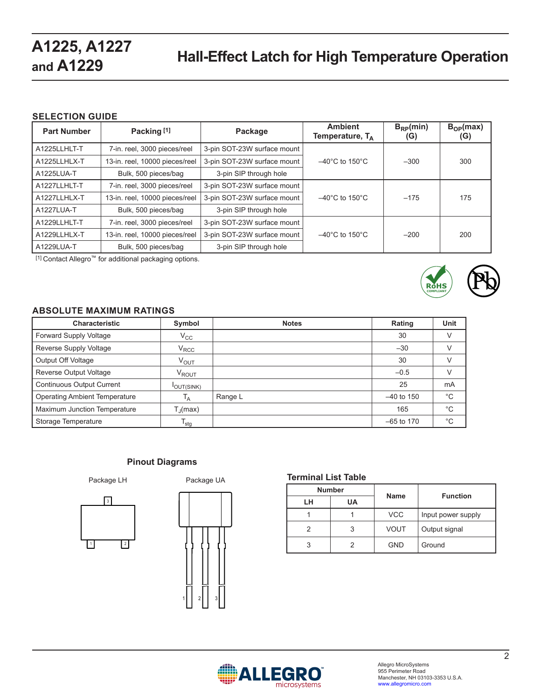### **SELECTION GUIDE**

| <b>Part Number</b> | Packing [1]                    | Package                     | <b>Ambient</b><br>Temperature, $T_A$ | $B_{RP}(min)$<br>(G) | $B_{OP}(max)$<br>(G) |
|--------------------|--------------------------------|-----------------------------|--------------------------------------|----------------------|----------------------|
| A1225LLHLT-T       | 7-in. reel, 3000 pieces/reel   | 3-pin SOT-23W surface mount |                                      |                      |                      |
| A1225LLHLX-T       | 13-in. reel, 10000 pieces/reel | 3-pin SOT-23W surface mount | $-40^{\circ}$ C to 150 $^{\circ}$ C  | $-300$               | 300                  |
| A1225LUA-T         | Bulk, 500 pieces/bag           | 3-pin SIP through hole      |                                      |                      |                      |
| A1227LLHLT-T       | 7-in. reel, 3000 pieces/reel   | 3-pin SOT-23W surface mount |                                      |                      |                      |
| A1227LLHLX-T       | 13-in. reel, 10000 pieces/reel | 3-pin SOT-23W surface mount | $-40^{\circ}$ C to 150 $^{\circ}$ C  | $-175$               | 175                  |
| A1227LUA-T         | Bulk, 500 pieces/bag           | 3-pin SIP through hole      |                                      |                      |                      |
| A1229LLHLT-T       | 7-in. reel, 3000 pieces/reel   | 3-pin SOT-23W surface mount |                                      |                      |                      |
| A1229LLHLX-T       | 13-in. reel, 10000 pieces/reel | 3-pin SOT-23W surface mount | $-40^{\circ}$ C to 150 $^{\circ}$ C  | $-200$               | 200                  |
| A1229LUA-T         | Bulk, 500 pieces/bag           | 3-pin SIP through hole      |                                      |                      |                      |

[1] Contact Allegro™ for additional packaging options.



### **ABSOLUTE MAXIMUM RATINGS**

| <b>Characteristic</b>                | Symbol            | <b>Notes</b> | Rating       | Unit         |
|--------------------------------------|-------------------|--------------|--------------|--------------|
| Forward Supply Voltage               | $\rm V_{CC}$      |              | 30           | V            |
| Reverse Supply Voltage               | $V_{\text{RCC}}$  |              | $-30$        | V            |
| Output Off Voltage                   | $V_{\text{OUT}}$  |              | 30           | V            |
| Reverse Output Voltage               | V <sub>ROUT</sub> |              | $-0.5$       | V            |
| <b>Continuous Output Current</b>     | <b>OUT(SINK)</b>  |              | 25           | mA           |
| <b>Operating Ambient Temperature</b> | Т <sub>А</sub>    | Range L      | $-40$ to 150 | $^{\circ}$ C |
| Maximum Junction Temperature         | $T_{\rm d}$ (max) |              | 165          | $^{\circ}$ C |
| Storage Temperature                  | $I_{\text{stg}}$  |              | $-65$ to 170 | $^{\circ}$ C |

### **Pinout Diagrams**

Package LH





### **Terminal List Table**

|    | <b>Number</b> | <b>Name</b> | <b>Function</b>    |  |
|----|---------------|-------------|--------------------|--|
| LН | UA            |             |                    |  |
|    |               | <b>VCC</b>  | Input power supply |  |
| 2  |               | <b>VOUT</b> | Output signal      |  |
| 3  |               | <b>GND</b>  | Ground             |  |

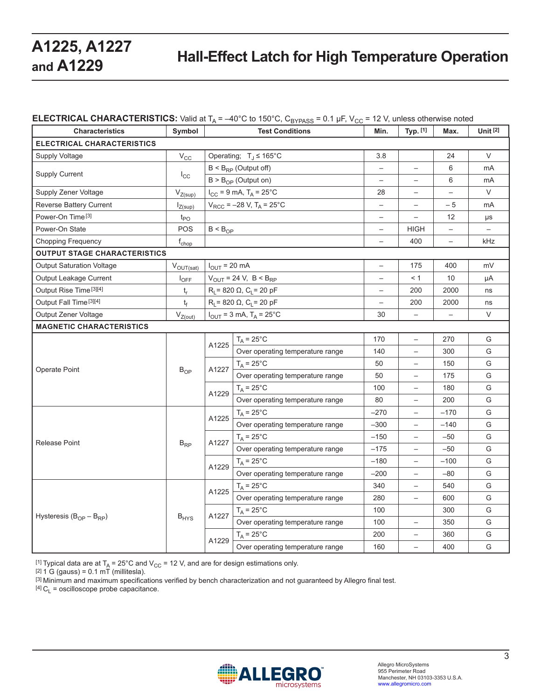### **ELECTRICAL CHARACTERISTICS:** Valid at  $T_A = -40^{\circ}$ C to 150 $^{\circ}$ C, C<sub>BYPASS</sub> = 0.1 µF, V<sub>CC</sub> = 12 V, unless otherwise noted

| <b>Characteristics</b>              | Symbol                      | <b>Test Conditions</b>                        |                                               | Min.                     | Typ. [1]                 | Max.                     | <b>Unit [2]</b>   |
|-------------------------------------|-----------------------------|-----------------------------------------------|-----------------------------------------------|--------------------------|--------------------------|--------------------------|-------------------|
| ELECTRICAL CHARACTERISTICS          |                             |                                               |                                               |                          |                          |                          |                   |
| Supply Voltage                      | $V_{\rm CC}$                | Operating; $T_J \le 165^{\circ}$ C            |                                               | 3.8                      |                          | 24                       | V                 |
| <b>Supply Current</b>               | $I_{\rm CC}$                | $B < B_{RP}$ (Output off)                     |                                               | $\qquad \qquad -$        | $\qquad \qquad -$        | 6                        | mA                |
|                                     |                             |                                               | $B > B_{OP}$ (Output on)                      |                          | $\overline{\phantom{0}}$ | 6                        | mA                |
| Supply Zener Voltage                | $V_{Z(sup)}$                |                                               | $I_{CC}$ = 9 mA, $T_A$ = 25°C                 | 28                       |                          |                          | V                 |
| Reverse Battery Current             | $I_{Z(sup)}$                |                                               | $V_{RCC}$ = -28 V, T <sub>A</sub> = 25°C      | $\qquad \qquad -$        |                          | $-5$                     | mA                |
| Power-On Time <sup>[3]</sup>        | $t_{PO}$                    |                                               |                                               | —                        | $\qquad \qquad -$        | 12                       | μs                |
| Power-On State                      | <b>POS</b>                  | $B < B_{OP}$                                  |                                               | $\overline{\phantom{m}}$ | <b>HIGH</b>              | $\qquad \qquad -$        | $\qquad \qquad -$ |
| <b>Chopping Frequency</b>           | $f_{chop}$                  |                                               |                                               | $\qquad \qquad -$        | 400                      | $\qquad \qquad -$        | kHz               |
| <b>OUTPUT STAGE CHARACTERISTICS</b> |                             |                                               |                                               |                          |                          |                          |                   |
| <b>Output Saturation Voltage</b>    | $V_{OUT(sat)}$              | $I_{OUT}$ = 20 mA                             |                                               | $\qquad \qquad -$        | 175                      | 400                      | mV                |
| Output Leakage Current              | $I_{OFF}$                   |                                               | $V_{OUT}$ = 24 V, B < B <sub>RP</sub>         |                          | < 1                      | 10                       | μA                |
| Output Rise Time [3][4]             | $t_r$                       |                                               | $R_L$ = 820 $\Omega$ , C <sub>L</sub> = 20 pF | $\overline{\phantom{0}}$ | 200                      | 2000                     | ns                |
| Output Fall Time [3][4]             | $t_{\rm f}$                 | $R_L$ = 820 $\Omega$ , C <sub>L</sub> = 20 pF |                                               |                          | 200                      | 2000                     | ns                |
| Output Zener Voltage                | $V_{Z(out)}$                |                                               | $I_{OUT}$ = 3 mA, $T_A$ = 25°C                | 30                       | $\qquad \qquad -$        | $\overline{\phantom{0}}$ | V                 |
| <b>MAGNETIC CHARACTERISTICS</b>     |                             |                                               |                                               |                          |                          |                          |                   |
|                                     | $B_{OP}$                    | A1225                                         | $T_A = 25^{\circ}C$                           | 170                      | $\overline{\phantom{0}}$ | 270                      | G                 |
|                                     |                             |                                               | Over operating temperature range              | 140                      | $\overline{\phantom{0}}$ | 300                      | G                 |
|                                     |                             | A1227                                         | $T_A = 25^{\circ}C$                           | 50                       | $\overline{\phantom{0}}$ | 150                      | G                 |
| Operate Point                       |                             |                                               | Over operating temperature range              | 50                       | —                        | 175                      | G                 |
|                                     |                             | A1229                                         | $T_A = 25^{\circ}C$                           | 100                      | $\qquad \qquad -$        | 180                      | G                 |
|                                     |                             |                                               | Over operating temperature range              | 80                       | $\qquad \qquad -$        | 200                      | G                 |
|                                     |                             | A1225                                         | $T_A = 25^{\circ}$ C                          | $-270$                   | $\qquad \qquad -$        | $-170$                   | G                 |
|                                     |                             |                                               | Over operating temperature range              | $-300$                   | $\equiv$                 | $-140$                   | G                 |
|                                     |                             | A1227                                         | $T_A = 25^{\circ}$ C                          | $-150$                   | $\qquad \qquad -$        | $-50$                    | G                 |
| <b>Release Point</b>                | $\mathsf{B}_{\mathsf{RP}}$  |                                               | Over operating temperature range              | $-175$                   | $\overline{\phantom{0}}$ | $-50$                    | G                 |
|                                     |                             | A1229                                         | $T_A = 25^{\circ}C$                           | $-180$                   |                          | $-100$                   | G                 |
|                                     |                             |                                               | Over operating temperature range              | $-200$                   |                          | $-80$                    | G                 |
|                                     | $\mathsf{B}_{\mathsf{HYS}}$ | A1225                                         | $T_A = 25^{\circ}C$                           | 340                      | $\qquad \qquad -$        | 540                      | G                 |
|                                     |                             |                                               | Over operating temperature range              | 280                      | $\qquad \qquad -$        | 600                      | G                 |
|                                     |                             | A1227                                         | $T_A = 25^{\circ}C$                           | 100                      |                          | 300                      | G                 |
| Hysteresis $(B_{OP} - B_{RP})$      |                             |                                               | Over operating temperature range              | 100                      | $\overline{\phantom{0}}$ | 350                      | G                 |
|                                     |                             |                                               | $T_A = 25^{\circ}C$                           | 200                      | $\overline{\phantom{0}}$ | 360                      | G                 |
|                                     |                             | A1229                                         | Over operating temperature range              | 160                      |                          | 400                      | G                 |

[1] Typical data are at  $T_A = 25^{\circ}$ C and  $V_{CC} = 12$  V, and are for design estimations only.

 $[2] 1 G (gauss) = 0.1 mT (millitesla).$ 

<sup>[3]</sup> Minimum and maximum specifications verified by bench characterization and not guaranteed by Allegro final test.

 $[4]$  C<sub>L</sub> = oscilloscope probe capacitance.

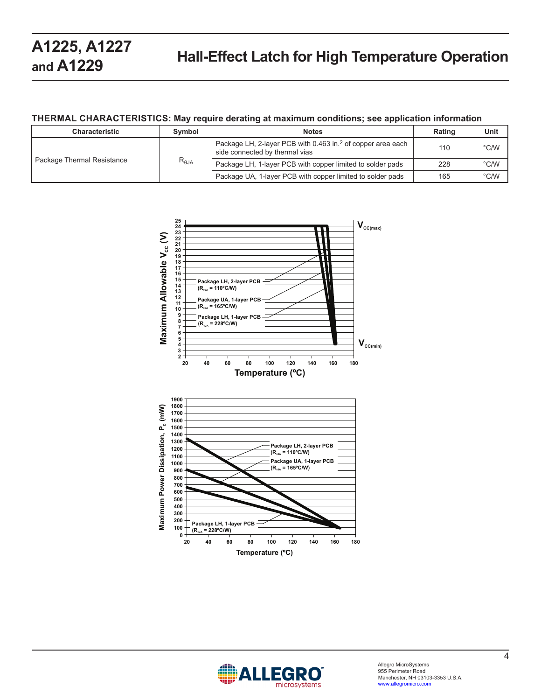### **THERMAL CHARACTERISTICS: May require derating at maximum conditions; see application information**

| <b>Characteristic</b>      | Symbol          | <b>Notes</b>                                                                                              | <b>Rating</b> | Unit          |
|----------------------------|-----------------|-----------------------------------------------------------------------------------------------------------|---------------|---------------|
| Package Thermal Resistance | $R_{\theta JA}$ | Package LH, 2-layer PCB with 0.463 in. <sup>2</sup> of copper area each<br>side connected by thermal vias | 110           | $\degree$ C/W |
|                            |                 | Package LH, 1-layer PCB with copper limited to solder pads                                                | 228           | $\degree$ C/W |
|                            |                 | Package UA, 1-layer PCB with copper limited to solder pads                                                | 165           | $\degree$ C/W |



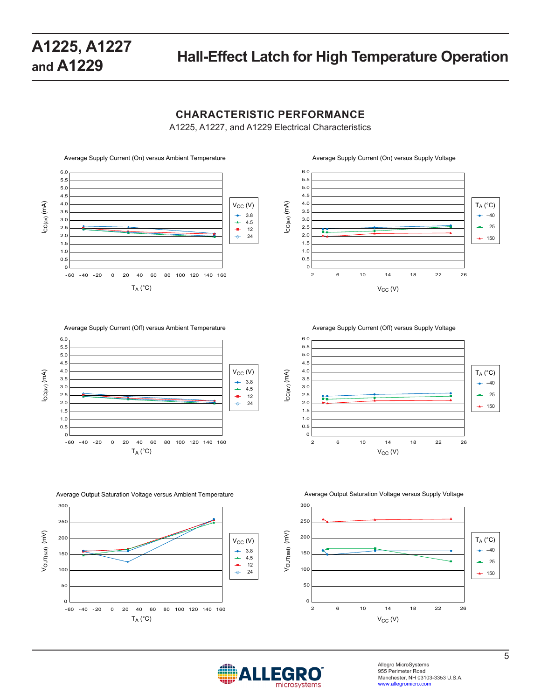### **CHARACTERISTIC PERFORMANCE**

A1225, A1227, and A1229 Electrical Characteristics



6.0 5.5 5.0 4.5 4.0 ICC(av) (mA)  $T_A (°C)$ 3.5 –40 3.0 2.5 25 a. 2.0 150 1.5 1.0 0.5  $\Omega$ 2 6 10 14 18 22 26  $V_{CC}$  (V)





Average Output Saturation Voltage versus Ambient Temperature Average Output Saturation Voltage versus Supply Voltage









Allegro MicroSystems 955 Perimeter Road Manchester, NH 03103-3353 U.S.A. www.allegromicro.com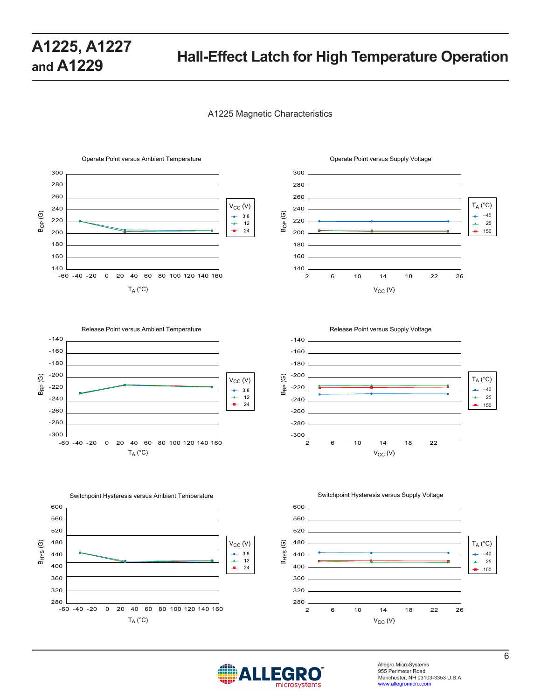#### A1225 Magnetic Characteristics















Allegro MicroSystems 955 Perimeter Road Manchester, NH 03103-3353 U.S.A. www.allegromicro.com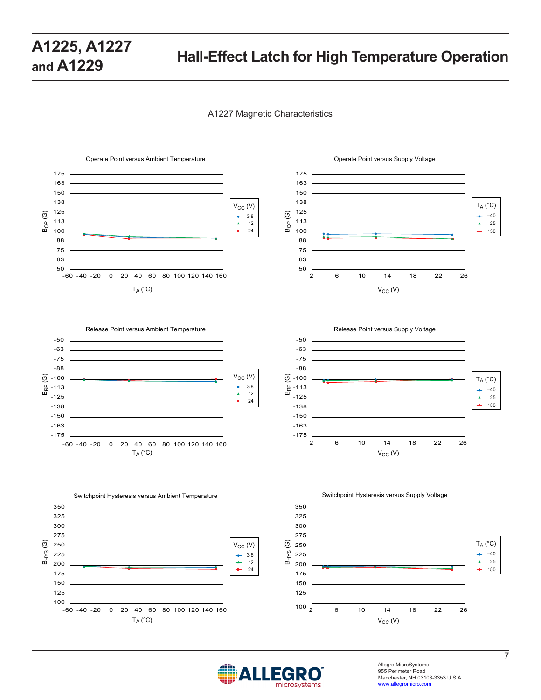#### A1227 Magnetic Characteristics



#### 175 163 150 138  $T_A (°C)$ 125 BOP (G) –40 ÷ 113  $\rightarrow$ 25 100 ÷ 15088 75 63 50 2 6 10 14 18 22 26  $V_{CC}$  (V)





Switchpoint Hysteresis versus Ambient Temperature Switchpoint Hysteresis versus Supply Voltage







Allegro MicroSystems 955 Perimeter Road Manchester, NH 03103-3353 U.S.A. www.allegromicro.com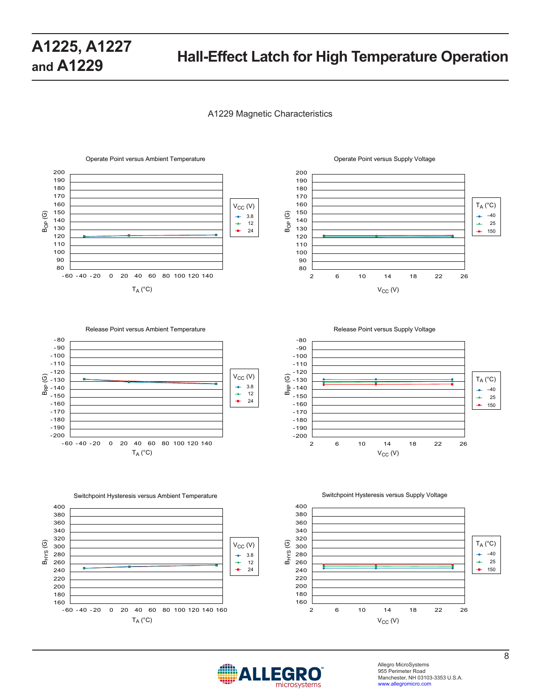#### A1229 Magnetic Characteristics





Release Point versus Ambient Temperature **Release Point versus Supply Voltage** Release Point versus Supply Voltage





 $\overline{9} - 130$  $-120$ -110  $-100$ -90 -80

 $B_{RP}$ 



Switchpoint Hysteresis versus Ambient Temperature Switchpoint Hysteresis versus Supply Voltage







Allegro MicroSystems 955 Perimeter Road Manchester, NH 03103-3353 U.S.A. www.allegromicro.com

 $T_A (^\circ C)$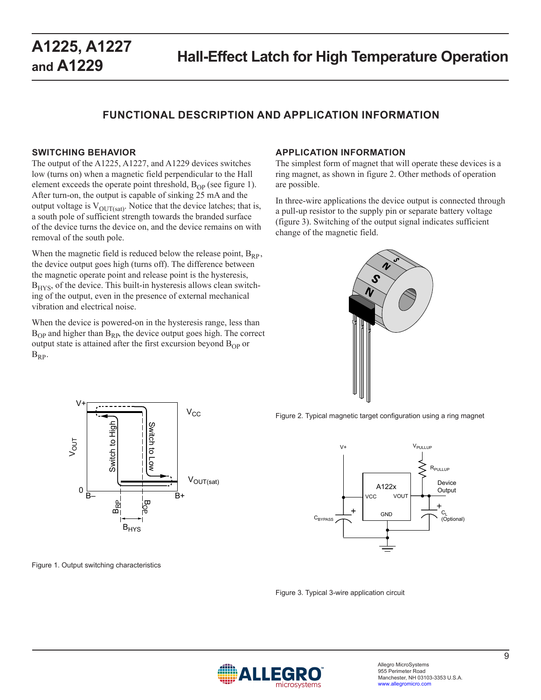### **FUNCTIONAL DESCRIPTION AND APPLICATION INFORMATION**

#### **SWITCHING BEHAVIOR**

The output of the A1225, A1227, and A1229 devices switches low (turns on) when a magnetic field perpendicular to the Hall element exceeds the operate point threshold,  $B_{OP}$  (see figure 1). After turn-on, the output is capable of sinking 25 mA and the output voltage is  $V_{\text{OUT(sat)}}$ . Notice that the device latches; that is, a south pole of sufficient strength towards the branded surface of the device turns the device on, and the device remains on with removal of the south pole.

When the magnetic field is reduced below the release point,  $B_{RP}$ , the device output goes high (turns off). The difference between the magnetic operate point and release point is the hysteresis,  $B<sub>HYS</sub>$ , of the device. This built-in hysteresis allows clean switching of the output, even in the presence of external mechanical vibration and electrical noise.

When the device is powered-on in the hysteresis range, less than  $B_{OP}$  and higher than  $B_{RP}$ , the device output goes high. The correct output state is attained after the first excursion beyond  $B_{OP}$  or  $B_{RP}$ .

#### **APPLICATION INFORMATION**

The simplest form of magnet that will operate these devices is a ring magnet, as shown in figure 2. Other methods of operation are possible.

In three-wire applications the device output is connected through a pull-up resistor to the supply pin or separate battery voltage (figure 3). Switching of the output signal indicates sufficient change of the magnetic field.





Figure 2. Typical magnetic target configuration using a ring magnet



Figure 1. Output switching characteristics

Figure 3. Typical 3-wire application circuit

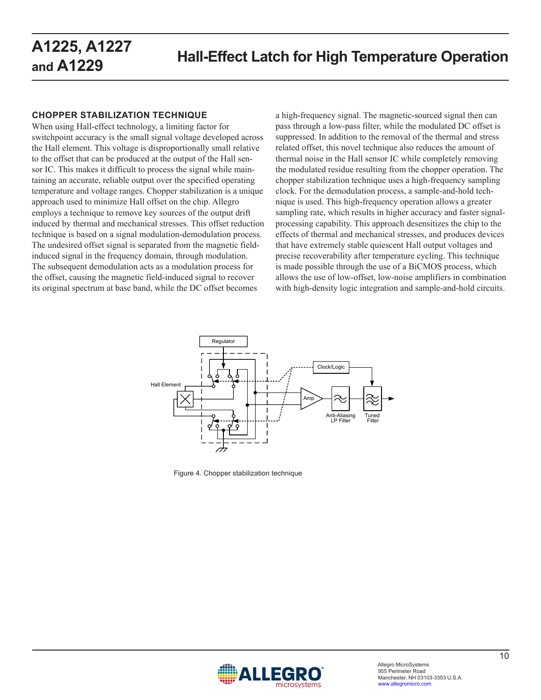### **CHOPPER STABILIZATION TECHNIQUE**

When using Hall-effect technology, a limiting factor for switchpoint accuracy is the small signal voltage developed across the Hall element. This voltage is disproportionally small relative to the offset that can be produced at the output of the Hall sensor IC. This makes it difficult to process the signal while maintaining an accurate, reliable output over the specified operating temperature and voltage ranges. Chopper stabilization is a unique approach used to minimize Hall offset on the chip. Allegro employs a technique to remove key sources of the output drift induced by thermal and mechanical stresses. This offset reduction technique is based on a signal modulation-demodulation process. The undesired offset signal is separated from the magnetic fieldinduced signal in the frequency domain, through modulation. The subsequent demodulation acts as a modulation process for the offset, causing the magnetic field-induced signal to recover its original spectrum at base band, while the DC offset becomes

a high-frequency signal. The magnetic-sourced signal then can pass through a low-pass filter, while the modulated DC offset is suppressed. In addition to the removal of the thermal and stress related offset, this novel technique also reduces the amount of thermal noise in the Hall sensor IC while completely removing the modulated residue resulting from the chopper operation. The chopper stabilization technique uses a high-frequency sampling clock. For the demodulation process, a sample-and-hold technique is used. This high-frequency operation allows a greater sampling rate, which results in higher accuracy and faster signalprocessing capability. This approach desensitizes the chip to the effects of thermal and mechanical stresses, and produces devices that have extremely stable quiescent Hall output voltages and precise recoverability after temperature cycling. This technique is made possible through the use of a BiCMOS process, which allows the use of low-offset, low-noise amplifiers in combination with high-density logic integration and sample-and-hold circuits.



Figure 4. Chopper stabilization technique

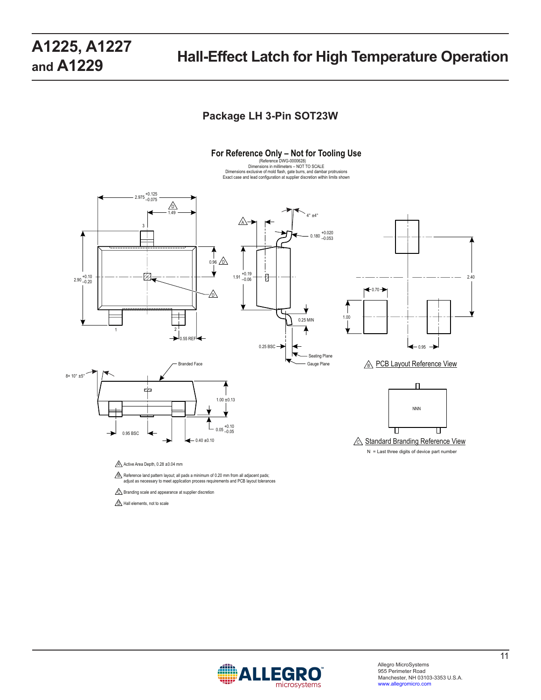### **Package LH 3-Pin SOT23W**



**D** Hall elements, not to scale

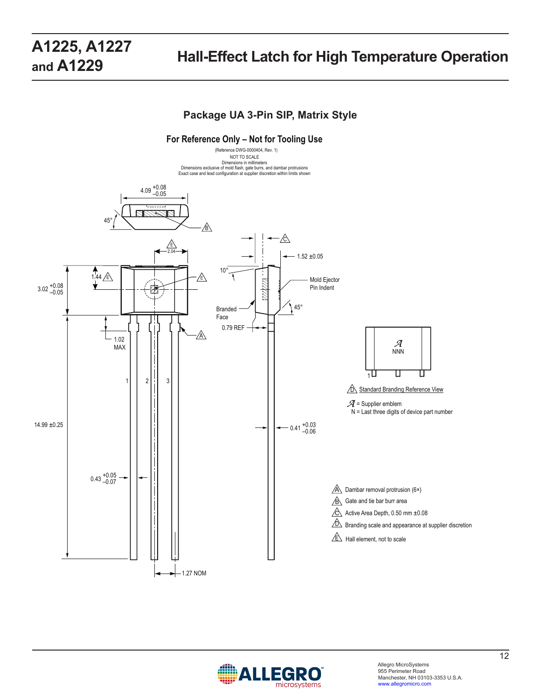### **Package UA 3-Pin SIP, Matrix Style**



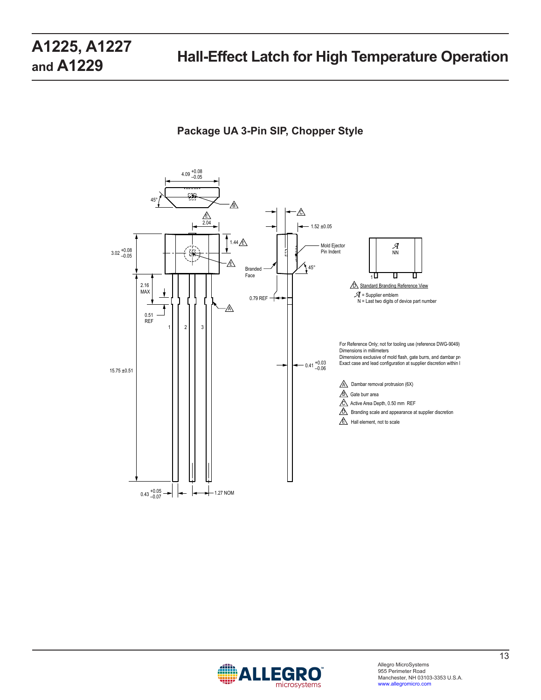### **Package UA 3-Pin SIP, Chopper Style**